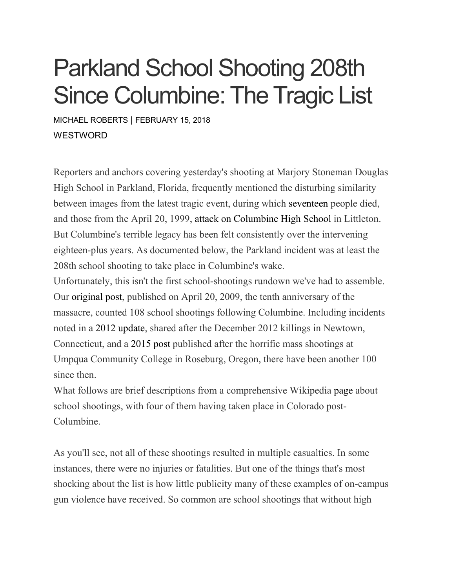# Parkland School Shooting 208th Since Columbine: The Tragic List

MICHAEL [ROBERTS](https://www.westword.com/authors/michael-roberts-5052718) | FEBRUARY 15, 2018 **WESTWORD** 

Reporters and anchors covering yesterday's shooting at Marjory Stoneman Douglas High School in Parkland, Florida, frequently mentioned the disturbing similarity between images from the latest tragic event, during which [seventeen](https://www.nbcnews.com/news/us-news/police-respond-shooting-parkland-florida-high-school-n848101) people died, and those from the April 20, 1999, attack on [Columbine](https://www.westword.com/news/video-did-police-investigation-miss-key-moment-in-columbine-attack-8079357) High School in Littleton. But Columbine's terrible legacy has been felt consistently over the intervening eighteen-plus years. As documented below, the Parkland incident was at least the 208th school shooting to take place in Columbine's wake.

Unfortunately, this isn't the first school-shootings rundown we've had to assemble. Our [original](https://www.westword.com/news/the-columbine-effect-a-horrific-roster-of-school-shootings-since-1999-5853511) post, published on April 20, 2009, the tenth anniversary of the massacre, counted 108 school shootings following Columbine. Including incidents noted in a 2012 [update,](https://www.westword.com/news/columbine-to-oregons-umpqua-college-tragic-list-of-school-shootings-since-99-5844141) shared after the December 2012 killings in Newtown, Connecticut, and a [2015](https://www.westword.com/news/columbine-to-oregons-umpqua-college-tragic-list-of-school-shootings-since-99-5844141) post published after the horrific mass shootings at Umpqua Community College in Roseburg, Oregon, there have been another 100 since then.

What follows are brief descriptions from a comprehensive Wikipedia [page](https://en.wikipedia.org/wiki/School_shootings_in_the_United_States) about school shootings, with four of them having taken place in Colorado post-Columbine.

As you'll see, not all of these shootings resulted in multiple casualties. In some instances, there were no injuries or fatalities. But one of the things that's most shocking about the list is how little publicity many of these examples of on-campus gun violence have received. So common are school shootings that without high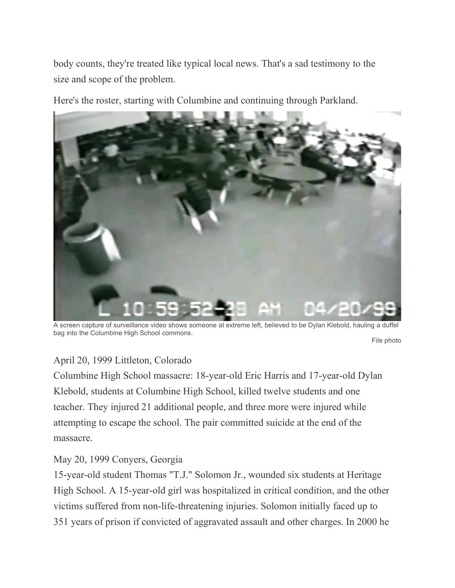body counts, they're treated like typical local news. That's a sad testimony to the size and scope of the problem.

Here's the roster, starting with Columbine and continuing through Parkland.



A screen capture of surveillance video shows someone at extreme left, believed to be Dylan Klebold, hauling a duffel bag into the Columbine High School commons.

File photo

# April 20, 1999 Littleton, Colorado

Columbine High School massacre: 18-year-old Eric Harris and 17-year-old Dylan Klebold, students at Columbine High School, killed twelve students and one teacher. They injured 21 additional people, and three more were injured while attempting to escape the school. The pair committed suicide at the end of the massacre.

# May 20, 1999 Conyers, Georgia

15-year-old student Thomas "T.J." Solomon Jr., wounded six students at Heritage High School. A 15-year-old girl was hospitalized in critical condition, and the other victims suffered from non-life-threatening injuries. Solomon initially faced up to 351 years of prison if convicted of aggravated assault and other charges. In 2000 he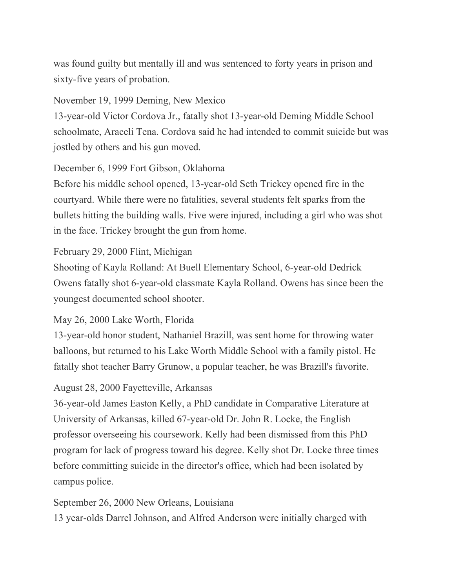was found guilty but mentally ill and was sentenced to forty years in prison and sixty-five years of probation.

November 19, 1999 Deming, New Mexico

13-year-old Victor Cordova Jr., fatally shot 13-year-old Deming Middle School schoolmate, Araceli Tena. Cordova said he had intended to commit suicide but was jostled by others and his gun moved.

December 6, 1999 Fort Gibson, Oklahoma

Before his middle school opened, 13-year-old Seth Trickey opened fire in the courtyard. While there were no fatalities, several students felt sparks from the bullets hitting the building walls. Five were injured, including a girl who was shot in the face. Trickey brought the gun from home.

## February 29, 2000 Flint, Michigan

Shooting of Kayla Rolland: At Buell Elementary School, 6-year-old Dedrick Owens fatally shot 6-year-old classmate Kayla Rolland. Owens has since been the youngest documented school shooter.

# May 26, 2000 Lake Worth, Florida

13-year-old honor student, Nathaniel Brazill, was sent home for throwing water balloons, but returned to his Lake Worth Middle School with a family pistol. He fatally shot teacher Barry Grunow, a popular teacher, he was Brazill's favorite.

# August 28, 2000 Fayetteville, Arkansas

36-year-old James Easton Kelly, a PhD candidate in Comparative Literature at University of Arkansas, killed 67-year-old Dr. John R. Locke, the English professor overseeing his coursework. Kelly had been dismissed from this PhD program for lack of progress toward his degree. Kelly shot Dr. Locke three times before committing suicide in the director's office, which had been isolated by campus police.

September 26, 2000 New Orleans, Louisiana

13 year-olds Darrel Johnson, and Alfred Anderson were initially charged with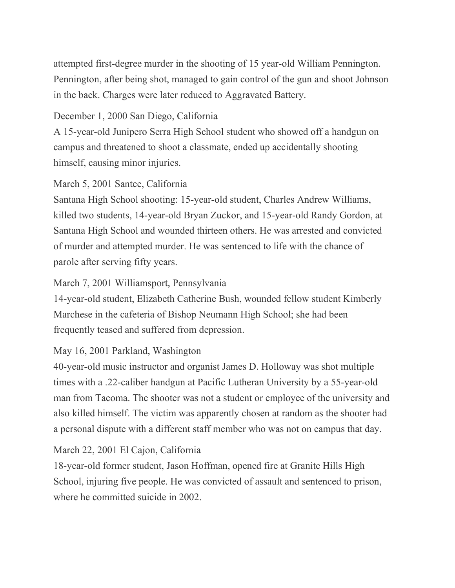attempted first-degree murder in the shooting of 15 year-old William Pennington. Pennington, after being shot, managed to gain control of the gun and shoot Johnson in the back. Charges were later reduced to Aggravated Battery.

# December 1, 2000 San Diego, California

A 15-year-old Junipero Serra High School student who showed off a handgun on campus and threatened to shoot a classmate, ended up accidentally shooting himself, causing minor injuries.

## March 5, 2001 Santee, California

Santana High School shooting: 15-year-old student, Charles Andrew Williams, killed two students, 14-year-old Bryan Zuckor, and 15-year-old Randy Gordon, at Santana High School and wounded thirteen others. He was arrested and convicted of murder and attempted murder. He was sentenced to life with the chance of parole after serving fifty years.

## March 7, 2001 Williamsport, Pennsylvania

14-year-old student, Elizabeth Catherine Bush, wounded fellow student Kimberly Marchese in the cafeteria of Bishop Neumann High School; she had been frequently teased and suffered from depression.

# May 16, 2001 Parkland, Washington

40-year-old music instructor and organist James D. Holloway was shot multiple times with a .22-caliber handgun at Pacific Lutheran University by a 55-year-old man from Tacoma. The shooter was not a student or employee of the university and also killed himself. The victim was apparently chosen at random as the shooter had a personal dispute with a different staff member who was not on campus that day.

# March 22, 2001 El Cajon, California

18-year-old former student, Jason Hoffman, opened fire at Granite Hills High School, injuring five people. He was convicted of assault and sentenced to prison, where he committed suicide in 2002.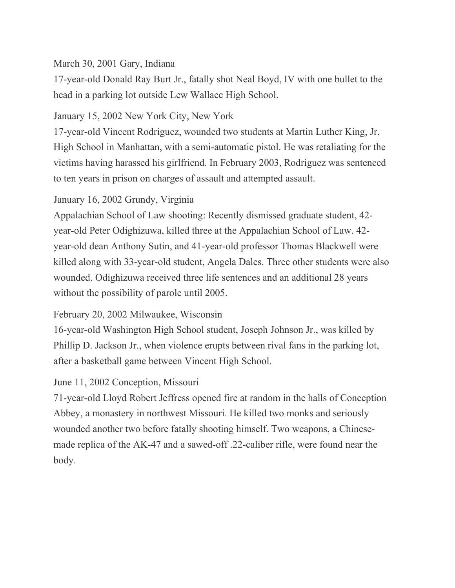## March 30, 2001 Gary, Indiana

17-year-old Donald Ray Burt Jr., fatally shot Neal Boyd, IV with one bullet to the head in a parking lot outside Lew Wallace High School.

## January 15, 2002 New York City, New York

17-year-old Vincent Rodriguez, wounded two students at Martin Luther King, Jr. High School in Manhattan, with a semi-automatic pistol. He was retaliating for the victims having harassed his girlfriend. In February 2003, Rodriguez was sentenced to ten years in prison on charges of assault and attempted assault.

# January 16, 2002 Grundy, Virginia

Appalachian School of Law shooting: Recently dismissed graduate student, 42 year-old Peter Odighizuwa, killed three at the Appalachian School of Law. 42 year-old dean Anthony Sutin, and 41-year-old professor Thomas Blackwell were killed along with 33-year-old student, Angela Dales. Three other students were also wounded. Odighizuwa received three life sentences and an additional 28 years without the possibility of parole until 2005.

# February 20, 2002 Milwaukee, Wisconsin

16-year-old Washington High School student, Joseph Johnson Jr., was killed by Phillip D. Jackson Jr., when violence erupts between rival fans in the parking lot, after a basketball game between Vincent High School.

# June 11, 2002 Conception, Missouri

71-year-old Lloyd Robert Jeffress opened fire at random in the halls of Conception Abbey, a monastery in northwest Missouri. He killed two monks and seriously wounded another two before fatally shooting himself. Two weapons, a Chinesemade replica of the AK-47 and a sawed-off .22-caliber rifle, were found near the body.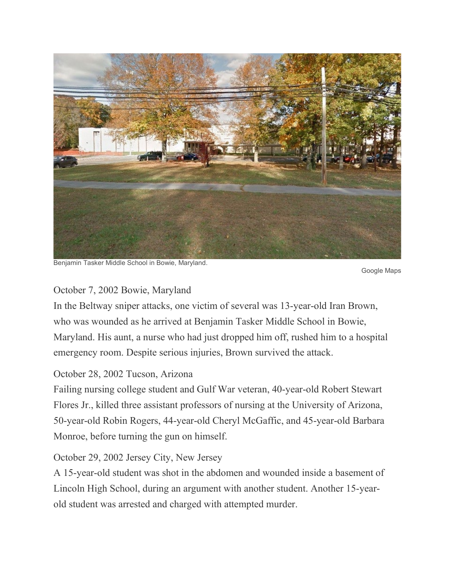

Benjamin Tasker Middle School in Bowie, Maryland.

Google Maps

## October 7, 2002 Bowie, Maryland

In the Beltway sniper attacks, one victim of several was 13-year-old Iran Brown, who was wounded as he arrived at Benjamin Tasker Middle School in Bowie, Maryland. His aunt, a nurse who had just dropped him off, rushed him to a hospital emergency room. Despite serious injuries, Brown survived the attack.

# October 28, 2002 Tucson, Arizona

Failing nursing college student and Gulf War veteran, 40-year-old Robert Stewart Flores Jr., killed three assistant professors of nursing at the University of Arizona, 50-year-old Robin Rogers, 44-year-old Cheryl McGaffic, and 45-year-old Barbara Monroe, before turning the gun on himself.

# October 29, 2002 Jersey City, New Jersey

A 15-year-old student was shot in the abdomen and wounded inside a basement of Lincoln High School, during an argument with another student. Another 15-yearold student was arrested and charged with attempted murder.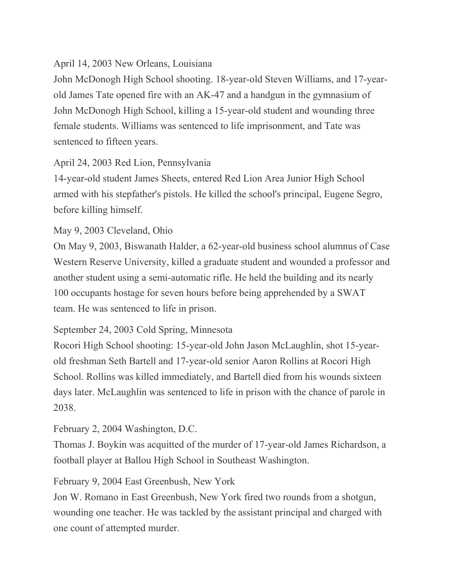# April 14, 2003 New Orleans, Louisiana

John McDonogh High School shooting. 18-year-old Steven Williams, and 17-yearold James Tate opened fire with an AK-47 and a handgun in the gymnasium of John McDonogh High School, killing a 15-year-old student and wounding three female students. Williams was sentenced to life imprisonment, and Tate was sentenced to fifteen years.

# April 24, 2003 Red Lion, Pennsylvania

14-year-old student James Sheets, entered Red Lion Area Junior High School armed with his stepfather's pistols. He killed the school's principal, Eugene Segro, before killing himself.

# May 9, 2003 Cleveland, Ohio

On May 9, 2003, Biswanath Halder, a 62-year-old business school alumnus of Case Western Reserve University, killed a graduate student and wounded a professor and another student using a semi-automatic rifle. He held the building and its nearly 100 occupants hostage for seven hours before being apprehended by a SWAT team. He was sentenced to life in prison.

# September 24, 2003 Cold Spring, Minnesota

Rocori High School shooting: 15-year-old John Jason McLaughlin, shot 15-yearold freshman Seth Bartell and 17-year-old senior Aaron Rollins at Rocori High School. Rollins was killed immediately, and Bartell died from his wounds sixteen days later. McLaughlin was sentenced to life in prison with the chance of parole in 2038.

# February 2, 2004 Washington, D.C.

Thomas J. Boykin was acquitted of the murder of 17-year-old James Richardson, a football player at Ballou High School in Southeast Washington.

February 9, 2004 East Greenbush, New York

Jon W. Romano in East Greenbush, New York fired two rounds from a shotgun, wounding one teacher. He was tackled by the assistant principal and charged with one count of attempted murder.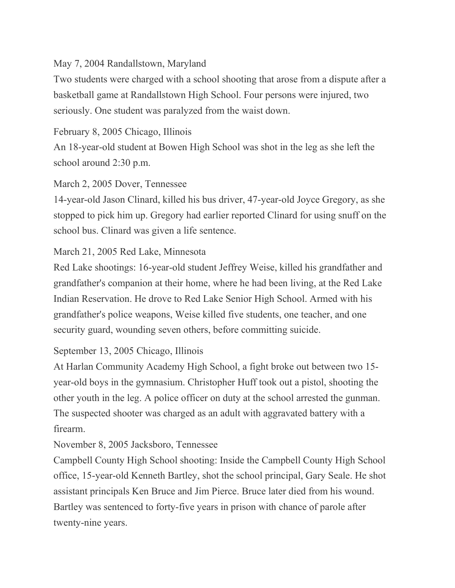## May 7, 2004 Randallstown, Maryland

Two students were charged with a school shooting that arose from a dispute after a basketball game at Randallstown High School. Four persons were injured, two seriously. One student was paralyzed from the waist down.

## February 8, 2005 Chicago, Illinois

An 18-year-old student at Bowen High School was shot in the leg as she left the school around 2:30 p.m.

## March 2, 2005 Dover, Tennessee

14-year-old Jason Clinard, killed his bus driver, 47-year-old Joyce Gregory, as she stopped to pick him up. Gregory had earlier reported Clinard for using snuff on the school bus. Clinard was given a life sentence.

## March 21, 2005 Red Lake, Minnesota

Red Lake shootings: 16-year-old student Jeffrey Weise, killed his grandfather and grandfather's companion at their home, where he had been living, at the Red Lake Indian Reservation. He drove to Red Lake Senior High School. Armed with his grandfather's police weapons, Weise killed five students, one teacher, and one security guard, wounding seven others, before committing suicide.

# September 13, 2005 Chicago, Illinois

At Harlan Community Academy High School, a fight broke out between two 15 year-old boys in the gymnasium. Christopher Huff took out a pistol, shooting the other youth in the leg. A police officer on duty at the school arrested the gunman. The suspected shooter was charged as an adult with aggravated battery with a firearm.

# November 8, 2005 Jacksboro, Tennessee

Campbell County High School shooting: Inside the Campbell County High School office, 15-year-old Kenneth Bartley, shot the school principal, Gary Seale. He shot assistant principals Ken Bruce and Jim Pierce. Bruce later died from his wound. Bartley was sentenced to forty-five years in prison with chance of parole after twenty-nine years.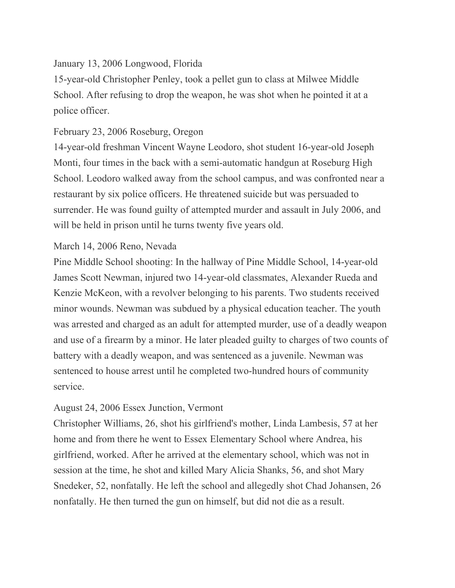## January 13, 2006 Longwood, Florida

15-year-old Christopher Penley, took a pellet gun to class at Milwee Middle School. After refusing to drop the weapon, he was shot when he pointed it at a police officer.

## February 23, 2006 Roseburg, Oregon

14-year-old freshman Vincent Wayne Leodoro, shot student 16-year-old Joseph Monti, four times in the back with a semi-automatic handgun at Roseburg High School. Leodoro walked away from the school campus, and was confronted near a restaurant by six police officers. He threatened suicide but was persuaded to surrender. He was found guilty of attempted murder and assault in July 2006, and will be held in prison until he turns twenty five years old.

## March 14, 2006 Reno, Nevada

Pine Middle School shooting: In the hallway of Pine Middle School, 14-year-old James Scott Newman, injured two 14-year-old classmates, Alexander Rueda and Kenzie McKeon, with a revolver belonging to his parents. Two students received minor wounds. Newman was subdued by a physical education teacher. The youth was arrested and charged as an adult for attempted murder, use of a deadly weapon and use of a firearm by a minor. He later pleaded guilty to charges of two counts of battery with a deadly weapon, and was sentenced as a juvenile. Newman was sentenced to house arrest until he completed two-hundred hours of community service.

# August 24, 2006 Essex Junction, Vermont

Christopher Williams, 26, shot his girlfriend's mother, Linda Lambesis, 57 at her home and from there he went to Essex Elementary School where Andrea, his girlfriend, worked. After he arrived at the elementary school, which was not in session at the time, he shot and killed Mary Alicia Shanks, 56, and shot Mary Snedeker, 52, nonfatally. He left the school and allegedly shot Chad Johansen, 26 nonfatally. He then turned the gun on himself, but did not die as a result.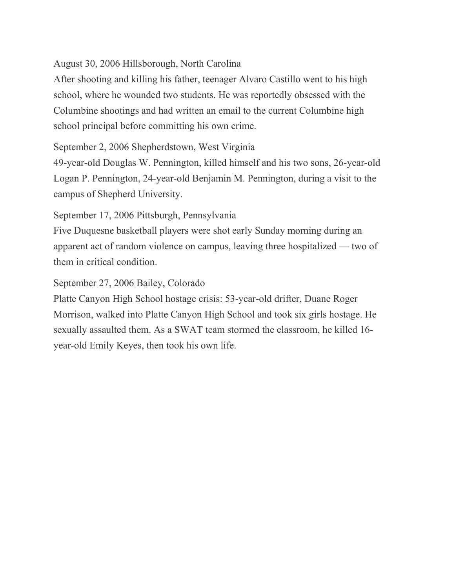## August 30, 2006 Hillsborough, North Carolina

After shooting and killing his father, teenager Alvaro Castillo went to his high school, where he wounded two students. He was reportedly obsessed with the Columbine shootings and had written an email to the current Columbine high school principal before committing his own crime.

September 2, 2006 Shepherdstown, West Virginia

49-year-old Douglas W. Pennington, killed himself and his two sons, 26-year-old Logan P. Pennington, 24-year-old Benjamin M. Pennington, during a visit to the campus of Shepherd University.

September 17, 2006 Pittsburgh, Pennsylvania

Five Duquesne basketball players were shot early Sunday morning during an apparent act of random violence on campus, leaving three hospitalized — two of them in critical condition.

September 27, 2006 Bailey, Colorado

Platte Canyon High School hostage crisis: 53-year-old drifter, Duane Roger Morrison, walked into Platte Canyon High School and took six girls hostage. He sexually assaulted them. As a SWAT team stormed the classroom, he killed 16 year-old Emily Keyes, then took his own life.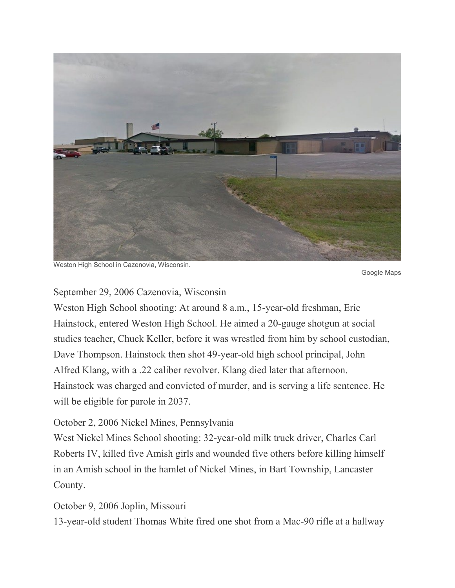

Weston High School in Cazenovia, Wisconsin.

Google Maps

#### September 29, 2006 Cazenovia, Wisconsin

Weston High School shooting: At around 8 a.m., 15-year-old freshman, Eric Hainstock, entered Weston High School. He aimed a 20-gauge shotgun at social studies teacher, Chuck Keller, before it was wrestled from him by school custodian, Dave Thompson. Hainstock then shot 49-year-old high school principal, John Alfred Klang, with a .22 caliber revolver. Klang died later that afternoon. Hainstock was charged and convicted of murder, and is serving a life sentence. He will be eligible for parole in 2037.

#### October 2, 2006 Nickel Mines, Pennsylvania

West Nickel Mines School shooting: 32-year-old milk truck driver, Charles Carl Roberts IV, killed five Amish girls and wounded five others before killing himself in an Amish school in the hamlet of Nickel Mines, in Bart Township, Lancaster County.

#### October 9, 2006 Joplin, Missouri

13-year-old student Thomas White fired one shot from a Mac-90 rifle at a hallway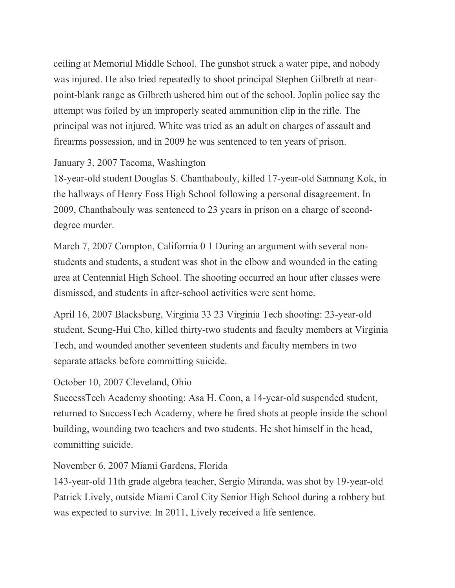ceiling at Memorial Middle School. The gunshot struck a water pipe, and nobody was injured. He also tried repeatedly to shoot principal Stephen Gilbreth at nearpoint-blank range as Gilbreth ushered him out of the school. Joplin police say the attempt was foiled by an improperly seated ammunition clip in the rifle. The principal was not injured. White was tried as an adult on charges of assault and firearms possession, and in 2009 he was sentenced to ten years of prison.

# January 3, 2007 Tacoma, Washington

18-year-old student Douglas S. Chanthabouly, killed 17-year-old Samnang Kok, in the hallways of Henry Foss High School following a personal disagreement. In 2009, Chanthabouly was sentenced to 23 years in prison on a charge of seconddegree murder.

March 7, 2007 Compton, California 0 1 During an argument with several nonstudents and students, a student was shot in the elbow and wounded in the eating area at Centennial High School. The shooting occurred an hour after classes were dismissed, and students in after-school activities were sent home.

April 16, 2007 Blacksburg, Virginia 33 23 Virginia Tech shooting: 23-year-old student, Seung-Hui Cho, killed thirty-two students and faculty members at Virginia Tech, and wounded another seventeen students and faculty members in two separate attacks before committing suicide.

## October 10, 2007 Cleveland, Ohio

SuccessTech Academy shooting: Asa H. Coon, a 14-year-old suspended student, returned to SuccessTech Academy, where he fired shots at people inside the school building, wounding two teachers and two students. He shot himself in the head, committing suicide.

November 6, 2007 Miami Gardens, Florida

143-year-old 11th grade algebra teacher, Sergio Miranda, was shot by 19-year-old Patrick Lively, outside Miami Carol City Senior High School during a robbery but was expected to survive. In 2011, Lively received a life sentence.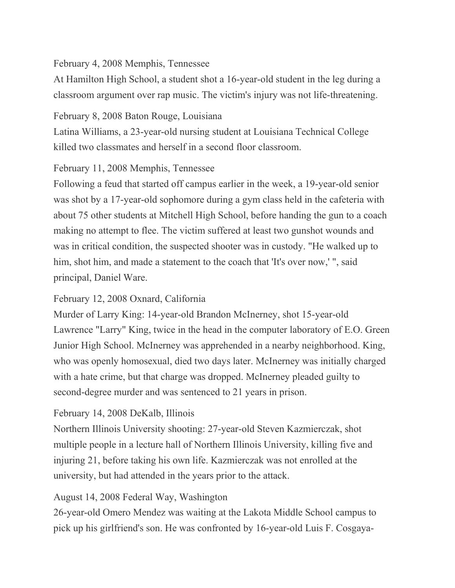## February 4, 2008 Memphis, Tennessee

At Hamilton High School, a student shot a 16-year-old student in the leg during a classroom argument over rap music. The victim's injury was not life-threatening.

February 8, 2008 Baton Rouge, Louisiana

Latina Williams, a 23-year-old nursing student at Louisiana Technical College killed two classmates and herself in a second floor classroom.

## February 11, 2008 Memphis, Tennessee

Following a feud that started off campus earlier in the week, a 19-year-old senior was shot by a 17-year-old sophomore during a gym class held in the cafeteria with about 75 other students at Mitchell High School, before handing the gun to a coach making no attempt to flee. The victim suffered at least two gunshot wounds and was in critical condition, the suspected shooter was in custody. "He walked up to him, shot him, and made a statement to the coach that 'It's over now,' ", said principal, Daniel Ware.

# February 12, 2008 Oxnard, California

Murder of Larry King: 14-year-old Brandon McInerney, shot 15-year-old Lawrence "Larry" King, twice in the head in the computer laboratory of E.O. Green Junior High School. McInerney was apprehended in a nearby neighborhood. King, who was openly homosexual, died two days later. McInerney was initially charged with a hate crime, but that charge was dropped. McInerney pleaded guilty to second-degree murder and was sentenced to 21 years in prison.

# February 14, 2008 DeKalb, Illinois

Northern Illinois University shooting: 27-year-old Steven Kazmierczak, shot multiple people in a lecture hall of Northern Illinois University, killing five and injuring 21, before taking his own life. Kazmierczak was not enrolled at the university, but had attended in the years prior to the attack.

# August 14, 2008 Federal Way, Washington

26-year-old Omero Mendez was waiting at the Lakota Middle School campus to pick up his girlfriend's son. He was confronted by 16-year-old Luis F. Cosgaya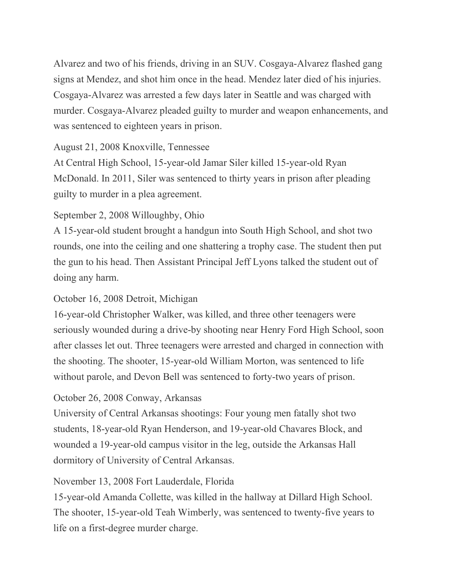Alvarez and two of his friends, driving in an SUV. Cosgaya-Alvarez flashed gang signs at Mendez, and shot him once in the head. Mendez later died of his injuries. Cosgaya-Alvarez was arrested a few days later in Seattle and was charged with murder. Cosgaya-Alvarez pleaded guilty to murder and weapon enhancements, and was sentenced to eighteen years in prison.

## August 21, 2008 Knoxville, Tennessee

At Central High School, 15-year-old Jamar Siler killed 15-year-old Ryan McDonald. In 2011, Siler was sentenced to thirty years in prison after pleading guilty to murder in a plea agreement.

# September 2, 2008 Willoughby, Ohio

A 15-year-old student brought a handgun into South High School, and shot two rounds, one into the ceiling and one shattering a trophy case. The student then put the gun to his head. Then Assistant Principal Jeff Lyons talked the student out of doing any harm.

# October 16, 2008 Detroit, Michigan

16-year-old Christopher Walker, was killed, and three other teenagers were seriously wounded during a drive-by shooting near Henry Ford High School, soon after classes let out. Three teenagers were arrested and charged in connection with the shooting. The shooter, 15-year-old William Morton, was sentenced to life without parole, and Devon Bell was sentenced to forty-two years of prison.

# October 26, 2008 Conway, Arkansas

University of Central Arkansas shootings: Four young men fatally shot two students, 18-year-old Ryan Henderson, and 19-year-old Chavares Block, and wounded a 19-year-old campus visitor in the leg, outside the Arkansas Hall dormitory of University of Central Arkansas.

# November 13, 2008 Fort Lauderdale, Florida

15-year-old Amanda Collette, was killed in the hallway at Dillard High School. The shooter, 15-year-old Teah Wimberly, was sentenced to twenty-five years to life on a first-degree murder charge.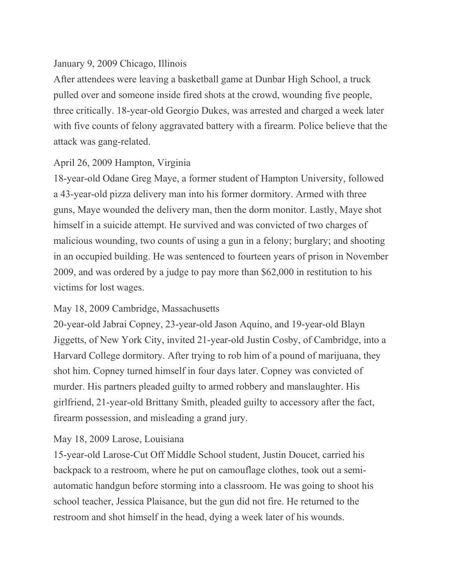## January 9, 2009 Chicago, Illinois

After attendees were leaving a basketball game at Dunbar High School, a truck pulled over and someone inside fired shots at the crowd, wounding five people, three critically. 18-year-old Georgio Dukes, was arrested and charged a week later with five counts of felony aggravated battery with a firearm. Police believe that the attack was gang-related.

# April 26, 2009 Hampton, Virginia

18-year-old Odane Greg Maye, a former student of Hampton University, followed a 43-year-old pizza delivery man into his former dormitory. Armed with three guns, Maye wounded the delivery man, then the dorm monitor. Lastly, Maye shot himself in a suicide attempt. He survived and was convicted of two charges of malicious wounding, two counts of using a gun in a felony; burglary; and shooting in an occupied building. He was sentenced to fourteen years of prison in November 2009, and was ordered by a judge to pay more than \$62,000 in restitution to his victims for lost wages.

# May 18, 2009 Cambridge, Massachusetts

20-year-old Jabrai Copney, 23-year-old Jason Aquino, and 19-year-old Blayn Jiggetts, of New York City, invited 21-year-old Justin Cosby, of Cambridge, into a Harvard College dormitory. After trying to rob him of a pound of marijuana, they shot him. Copney turned himself in four days later. Copney was convicted of murder. His partners pleaded guilty to armed robbery and manslaughter. His girlfriend, 21-year-old Brittany Smith, pleaded guilty to accessory after the fact, firearm possession, and misleading a grand jury.

# May 18, 2009 Larose, Louisiana

15-year-old Larose-Cut Off Middle School student, Justin Doucet, carried his backpack to a restroom, where he put on camouflage clothes, took out a semiautomatic handgun before storming into a classroom. He was going to shoot his school teacher, Jessica Plaisance, but the gun did not fire. He returned to the restroom and shot himself in the head, dying a week later of his wounds.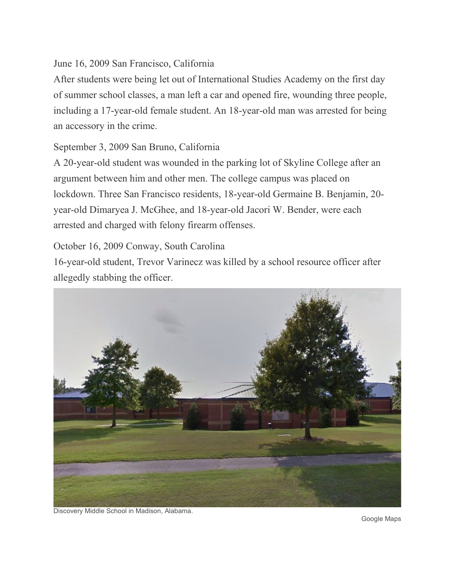# June 16, 2009 San Francisco, California

After students were being let out of International Studies Academy on the first day of summer school classes, a man left a car and opened fire, wounding three people, including a 17-year-old female student. An 18-year-old man was arrested for being an accessory in the crime.

# September 3, 2009 San Bruno, California

A 20-year-old student was wounded in the parking lot of Skyline College after an argument between him and other men. The college campus was placed on lockdown. Three San Francisco residents, 18-year-old Germaine B. Benjamin, 20 year-old Dimaryea J. McGhee, and 18-year-old Jacori W. Bender, were each arrested and charged with felony firearm offenses.

# October 16, 2009 Conway, South Carolina

16-year-old student, Trevor Varinecz was killed by a school resource officer after allegedly stabbing the officer.



Discovery Middle School in Madison, Alabama.

Google Maps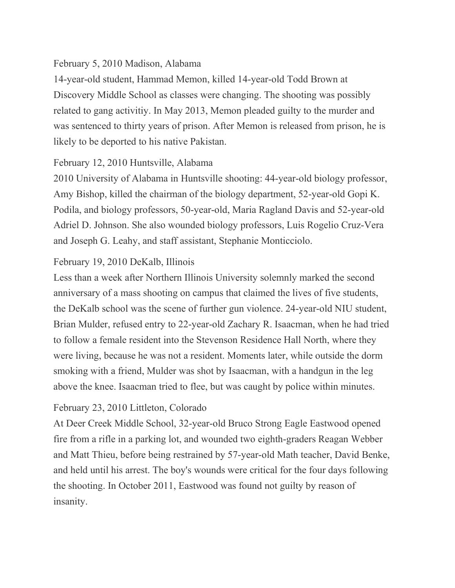## February 5, 2010 Madison, Alabama

14-year-old student, Hammad Memon, killed 14-year-old Todd Brown at Discovery Middle School as classes were changing. The shooting was possibly related to gang activitiy. In May 2013, Memon pleaded guilty to the murder and was sentenced to thirty years of prison. After Memon is released from prison, he is likely to be deported to his native Pakistan.

# February 12, 2010 Huntsville, Alabama

2010 University of Alabama in Huntsville shooting: 44-year-old biology professor, Amy Bishop, killed the chairman of the biology department, 52-year-old Gopi K. Podila, and biology professors, 50-year-old, Maria Ragland Davis and 52-year-old Adriel D. Johnson. She also wounded biology professors, Luis Rogelio Cruz-Vera and Joseph G. Leahy, and staff assistant, Stephanie Monticciolo.

# February 19, 2010 DeKalb, Illinois

Less than a week after Northern Illinois University solemnly marked the second anniversary of a mass shooting on campus that claimed the lives of five students, the DeKalb school was the scene of further gun violence. 24-year-old NIU student, Brian Mulder, refused entry to 22-year-old Zachary R. Isaacman, when he had tried to follow a female resident into the Stevenson Residence Hall North, where they were living, because he was not a resident. Moments later, while outside the dorm smoking with a friend, Mulder was shot by Isaacman, with a handgun in the leg above the knee. Isaacman tried to flee, but was caught by police within minutes.

# February 23, 2010 Littleton, Colorado

At Deer Creek Middle School, 32-year-old Bruco Strong Eagle Eastwood opened fire from a rifle in a parking lot, and wounded two eighth-graders Reagan Webber and Matt Thieu, before being restrained by 57-year-old Math teacher, David Benke, and held until his arrest. The boy's wounds were critical for the four days following the shooting. In October 2011, Eastwood was found not guilty by reason of insanity.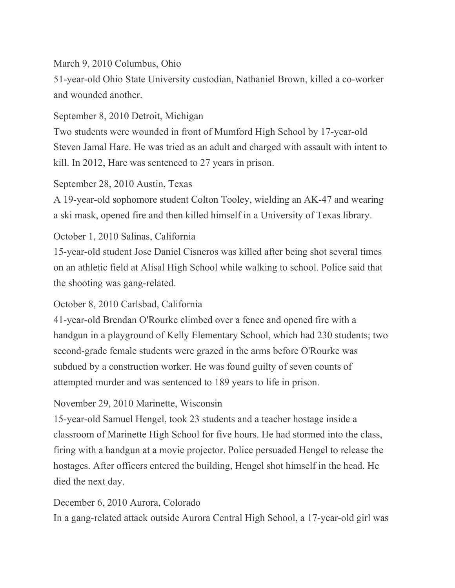## March 9, 2010 Columbus, Ohio

51-year-old Ohio State University custodian, Nathaniel Brown, killed a co-worker and wounded another.

## September 8, 2010 Detroit, Michigan

Two students were wounded in front of Mumford High School by 17-year-old Steven Jamal Hare. He was tried as an adult and charged with assault with intent to kill. In 2012, Hare was sentenced to 27 years in prison.

## September 28, 2010 Austin, Texas

A 19-year-old sophomore student Colton Tooley, wielding an AK-47 and wearing a ski mask, opened fire and then killed himself in a University of Texas library.

# October 1, 2010 Salinas, California

15-year-old student Jose Daniel Cisneros was killed after being shot several times on an athletic field at Alisal High School while walking to school. Police said that the shooting was gang-related.

# October 8, 2010 Carlsbad, California

41-year-old Brendan O'Rourke climbed over a fence and opened fire with a handgun in a playground of Kelly Elementary School, which had 230 students; two second-grade female students were grazed in the arms before O'Rourke was subdued by a construction worker. He was found guilty of seven counts of attempted murder and was sentenced to 189 years to life in prison.

# November 29, 2010 Marinette, Wisconsin

15-year-old Samuel Hengel, took 23 students and a teacher hostage inside a classroom of Marinette High School for five hours. He had stormed into the class, firing with a handgun at a movie projector. Police persuaded Hengel to release the hostages. After officers entered the building, Hengel shot himself in the head. He died the next day.

## December 6, 2010 Aurora, Colorado

In a gang-related attack outside Aurora Central High School, a 17-year-old girl was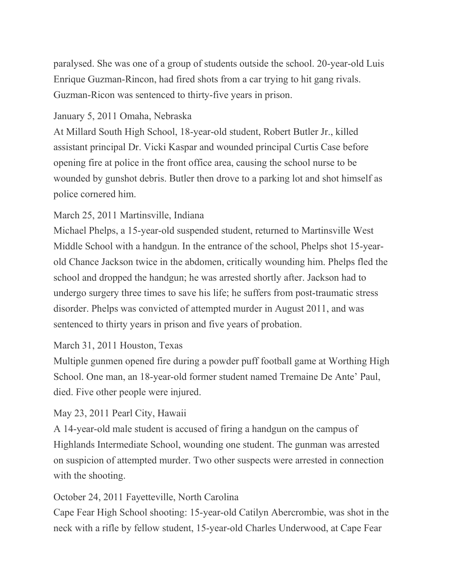paralysed. She was one of a group of students outside the school. 20-year-old Luis Enrique Guzman-Rincon, had fired shots from a car trying to hit gang rivals. Guzman-Ricon was sentenced to thirty-five years in prison.

## January 5, 2011 Omaha, Nebraska

At Millard South High School, 18-year-old student, Robert Butler Jr., killed assistant principal Dr. Vicki Kaspar and wounded principal Curtis Case before opening fire at police in the front office area, causing the school nurse to be wounded by gunshot debris. Butler then drove to a parking lot and shot himself as police cornered him.

## March 25, 2011 Martinsville, Indiana

Michael Phelps, a 15-year-old suspended student, returned to Martinsville West Middle School with a handgun. In the entrance of the school, Phelps shot 15-yearold Chance Jackson twice in the abdomen, critically wounding him. Phelps fled the school and dropped the handgun; he was arrested shortly after. Jackson had to undergo surgery three times to save his life; he suffers from post-traumatic stress disorder. Phelps was convicted of attempted murder in August 2011, and was sentenced to thirty years in prison and five years of probation.

## March 31, 2011 Houston, Texas

Multiple gunmen opened fire during a powder puff football game at Worthing High School. One man, an 18-year-old former student named Tremaine De Ante' Paul, died. Five other people were injured.

## May 23, 2011 Pearl City, Hawaii

A 14-year-old male student is accused of firing a handgun on the campus of Highlands Intermediate School, wounding one student. The gunman was arrested on suspicion of attempted murder. Two other suspects were arrested in connection with the shooting.

## October 24, 2011 Fayetteville, North Carolina

Cape Fear High School shooting: 15-year-old Catilyn Abercrombie, was shot in the neck with a rifle by fellow student, 15-year-old Charles Underwood, at Cape Fear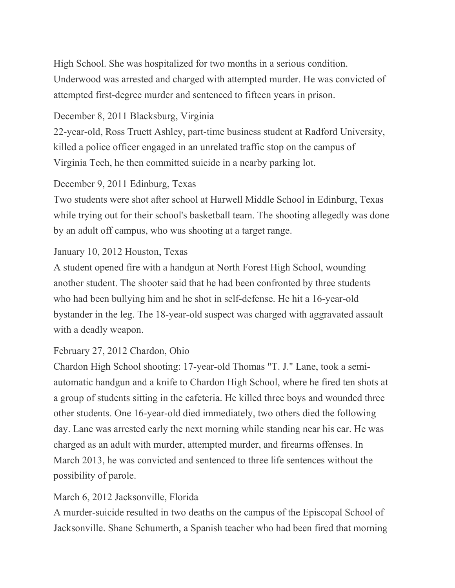High School. She was hospitalized for two months in a serious condition. Underwood was arrested and charged with attempted murder. He was convicted of attempted first-degree murder and sentenced to fifteen years in prison.

## December 8, 2011 Blacksburg, Virginia

22-year-old, Ross Truett Ashley, part-time business student at Radford University, killed a police officer engaged in an unrelated traffic stop on the campus of Virginia Tech, he then committed suicide in a nearby parking lot.

## December 9, 2011 Edinburg, Texas

Two students were shot after school at Harwell Middle School in Edinburg, Texas while trying out for their school's basketball team. The shooting allegedly was done by an adult off campus, who was shooting at a target range.

## January 10, 2012 Houston, Texas

A student opened fire with a handgun at North Forest High School, wounding another student. The shooter said that he had been confronted by three students who had been bullying him and he shot in self-defense. He hit a 16-year-old bystander in the leg. The 18-year-old suspect was charged with aggravated assault with a deadly weapon.

# February 27, 2012 Chardon, Ohio

Chardon High School shooting: 17-year-old Thomas "T. J." Lane, took a semiautomatic handgun and a knife to Chardon High School, where he fired ten shots at a group of students sitting in the cafeteria. He killed three boys and wounded three other students. One 16-year-old died immediately, two others died the following day. Lane was arrested early the next morning while standing near his car. He was charged as an adult with murder, attempted murder, and firearms offenses. In March 2013, he was convicted and sentenced to three life sentences without the possibility of parole.

## March 6, 2012 Jacksonville, Florida

A murder-suicide resulted in two deaths on the campus of the Episcopal School of Jacksonville. Shane Schumerth, a Spanish teacher who had been fired that morning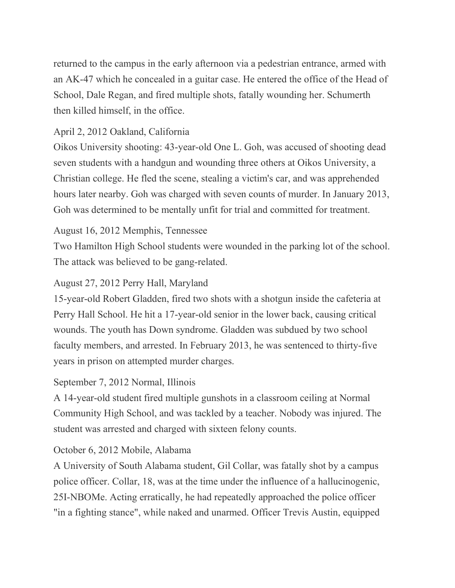returned to the campus in the early afternoon via a pedestrian entrance, armed with an AK-47 which he concealed in a guitar case. He entered the office of the Head of School, Dale Regan, and fired multiple shots, fatally wounding her. Schumerth then killed himself, in the office.

# April 2, 2012 Oakland, California

Oikos University shooting: 43-year-old One L. Goh, was accused of shooting dead seven students with a handgun and wounding three others at Oikos University, a Christian college. He fled the scene, stealing a victim's car, and was apprehended hours later nearby. Goh was charged with seven counts of murder. In January 2013, Goh was determined to be mentally unfit for trial and committed for treatment.

# August 16, 2012 Memphis, Tennessee

Two Hamilton High School students were wounded in the parking lot of the school. The attack was believed to be gang-related.

# August 27, 2012 Perry Hall, Maryland

15-year-old Robert Gladden, fired two shots with a shotgun inside the cafeteria at Perry Hall School. He hit a 17-year-old senior in the lower back, causing critical wounds. The youth has Down syndrome. Gladden was subdued by two school faculty members, and arrested. In February 2013, he was sentenced to thirty-five years in prison on attempted murder charges.

# September 7, 2012 Normal, Illinois

A 14-year-old student fired multiple gunshots in a classroom ceiling at Normal Community High School, and was tackled by a teacher. Nobody was injured. The student was arrested and charged with sixteen felony counts.

# October 6, 2012 Mobile, Alabama

A University of South Alabama student, Gil Collar, was fatally shot by a campus police officer. Collar, 18, was at the time under the influence of a hallucinogenic, 25I-NBOMe. Acting erratically, he had repeatedly approached the police officer "in a fighting stance", while naked and unarmed. Officer Trevis Austin, equipped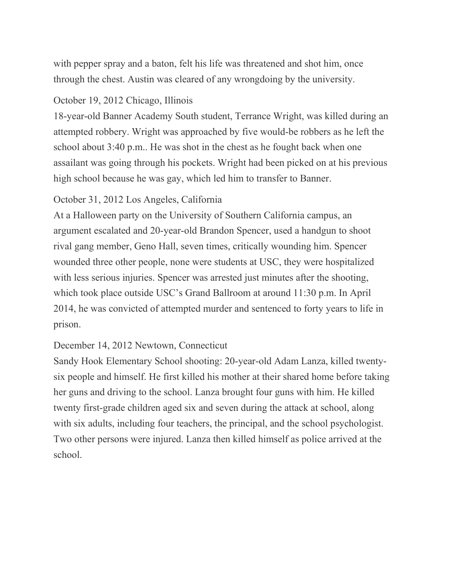with pepper spray and a baton, felt his life was threatened and shot him, once through the chest. Austin was cleared of any wrongdoing by the university.

#### October 19, 2012 Chicago, Illinois

18-year-old Banner Academy South student, Terrance Wright, was killed during an attempted robbery. Wright was approached by five would-be robbers as he left the school about 3:40 p.m.. He was shot in the chest as he fought back when one assailant was going through his pockets. Wright had been picked on at his previous high school because he was gay, which led him to transfer to Banner.

#### October 31, 2012 Los Angeles, California

At a Halloween party on the University of Southern California campus, an argument escalated and 20-year-old Brandon Spencer, used a handgun to shoot rival gang member, Geno Hall, seven times, critically wounding him. Spencer wounded three other people, none were students at USC, they were hospitalized with less serious injuries. Spencer was arrested just minutes after the shooting, which took place outside USC's Grand Ballroom at around 11:30 p.m. In April 2014, he was convicted of attempted murder and sentenced to forty years to life in prison.

## December 14, 2012 Newtown, Connecticut

Sandy Hook Elementary School shooting: 20-year-old Adam Lanza, killed twentysix people and himself. He first killed his mother at their shared home before taking her guns and driving to the school. Lanza brought four guns with him. He killed twenty first-grade children aged six and seven during the attack at school, along with six adults, including four teachers, the principal, and the school psychologist. Two other persons were injured. Lanza then killed himself as police arrived at the school.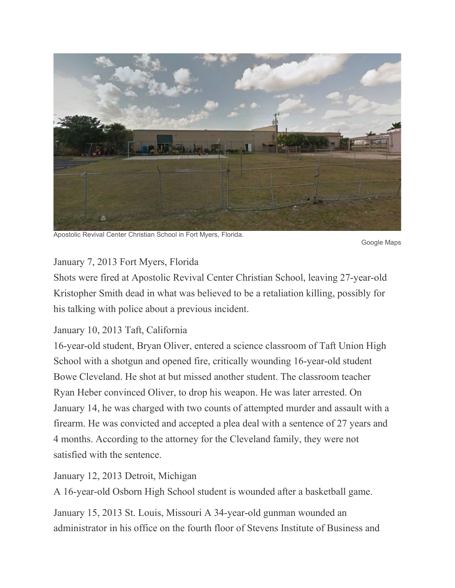

Apostolic Revival Center Christian School in Fort Myers, Florida.

Google Maps

## January 7, 2013 Fort Myers, Florida

Shots were fired at Apostolic Revival Center Christian School, leaving 27-year-old Kristopher Smith dead in what was believed to be a retaliation killing, possibly for his talking with police about a previous incident.

# January 10, 2013 Taft, California

16-year-old student, Bryan Oliver, entered a science classroom of Taft Union High School with a shotgun and opened fire, critically wounding 16-year-old student Bowe Cleveland. He shot at but missed another student. The classroom teacher Ryan Heber convinced Oliver, to drop his weapon. He was later arrested. On January 14, he was charged with two counts of attempted murder and assault with a firearm. He was convicted and accepted a plea deal with a sentence of 27 years and 4 months. According to the attorney for the Cleveland family, they were not satisfied with the sentence.

## January 12, 2013 Detroit, Michigan

A 16-year-old Osborn High School student is wounded after a basketball game.

January 15, 2013 St. Louis, Missouri A 34-year-old gunman wounded an administrator in his office on the fourth floor of Stevens Institute of Business and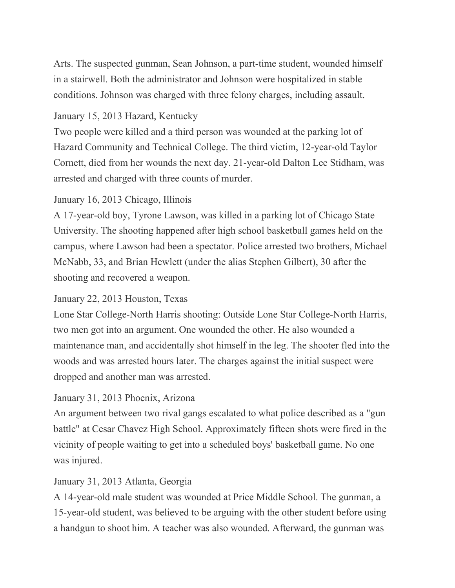Arts. The suspected gunman, Sean Johnson, a part-time student, wounded himself in a stairwell. Both the administrator and Johnson were hospitalized in stable conditions. Johnson was charged with three felony charges, including assault.

# January 15, 2013 Hazard, Kentucky

Two people were killed and a third person was wounded at the parking lot of Hazard Community and Technical College. The third victim, 12-year-old Taylor Cornett, died from her wounds the next day. 21-year-old Dalton Lee Stidham, was arrested and charged with three counts of murder.

# January 16, 2013 Chicago, Illinois

A 17-year-old boy, Tyrone Lawson, was killed in a parking lot of Chicago State University. The shooting happened after high school basketball games held on the campus, where Lawson had been a spectator. Police arrested two brothers, Michael McNabb, 33, and Brian Hewlett (under the alias Stephen Gilbert), 30 after the shooting and recovered a weapon.

# January 22, 2013 Houston, Texas

Lone Star College-North Harris shooting: Outside Lone Star College-North Harris, two men got into an argument. One wounded the other. He also wounded a maintenance man, and accidentally shot himself in the leg. The shooter fled into the woods and was arrested hours later. The charges against the initial suspect were dropped and another man was arrested.

# January 31, 2013 Phoenix, Arizona

An argument between two rival gangs escalated to what police described as a "gun battle" at Cesar Chavez High School. Approximately fifteen shots were fired in the vicinity of people waiting to get into a scheduled boys' basketball game. No one was injured.

# January 31, 2013 Atlanta, Georgia

A 14-year-old male student was wounded at Price Middle School. The gunman, a 15-year-old student, was believed to be arguing with the other student before using a handgun to shoot him. A teacher was also wounded. Afterward, the gunman was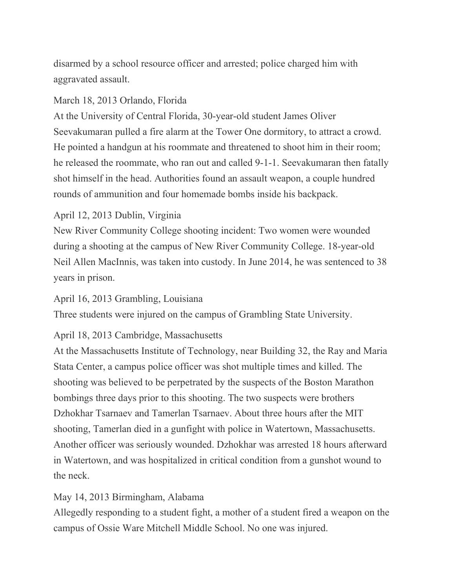disarmed by a school resource officer and arrested; police charged him with aggravated assault.

# March 18, 2013 Orlando, Florida

At the University of Central Florida, 30-year-old student James Oliver Seevakumaran pulled a fire alarm at the Tower One dormitory, to attract a crowd. He pointed a handgun at his roommate and threatened to shoot him in their room; he released the roommate, who ran out and called 9-1-1. Seevakumaran then fatally shot himself in the head. Authorities found an assault weapon, a couple hundred rounds of ammunition and four homemade bombs inside his backpack.

# April 12, 2013 Dublin, Virginia

New River Community College shooting incident: Two women were wounded during a shooting at the campus of New River Community College. 18-year-old Neil Allen MacInnis, was taken into custody. In June 2014, he was sentenced to 38 years in prison.

# April 16, 2013 Grambling, Louisiana

Three students were injured on the campus of Grambling State University.

# April 18, 2013 Cambridge, Massachusetts

At the Massachusetts Institute of Technology, near Building 32, the Ray and Maria Stata Center, a campus police officer was shot multiple times and killed. The shooting was believed to be perpetrated by the suspects of the Boston Marathon bombings three days prior to this shooting. The two suspects were brothers Dzhokhar Tsarnaev and Tamerlan Tsarnaev. About three hours after the MIT shooting, Tamerlan died in a gunfight with police in Watertown, Massachusetts. Another officer was seriously wounded. Dzhokhar was arrested 18 hours afterward in Watertown, and was hospitalized in critical condition from a gunshot wound to the neck.

# May 14, 2013 Birmingham, Alabama

Allegedly responding to a student fight, a mother of a student fired a weapon on the campus of Ossie Ware Mitchell Middle School. No one was injured.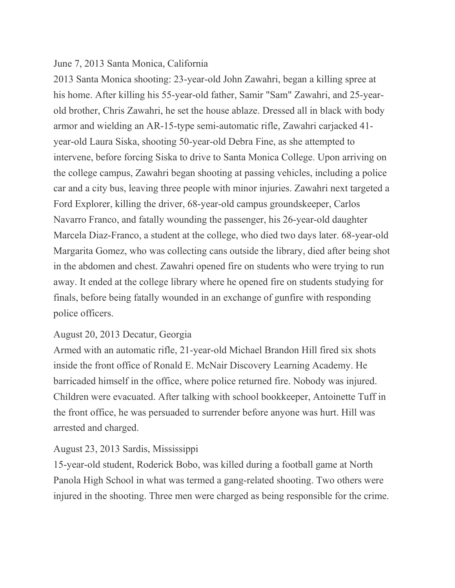#### June 7, 2013 Santa Monica, California

2013 Santa Monica shooting: 23-year-old John Zawahri, began a killing spree at his home. After killing his 55-year-old father, Samir "Sam" Zawahri, and 25-yearold brother, Chris Zawahri, he set the house ablaze. Dressed all in black with body armor and wielding an AR-15-type semi-automatic rifle, Zawahri carjacked 41 year-old Laura Siska, shooting 50-year-old Debra Fine, as she attempted to intervene, before forcing Siska to drive to Santa Monica College. Upon arriving on the college campus, Zawahri began shooting at passing vehicles, including a police car and a city bus, leaving three people with minor injuries. Zawahri next targeted a Ford Explorer, killing the driver, 68-year-old campus groundskeeper, Carlos Navarro Franco, and fatally wounding the passenger, his 26-year-old daughter Marcela Diaz-Franco, a student at the college, who died two days later. 68-year-old Margarita Gomez, who was collecting cans outside the library, died after being shot in the abdomen and chest. Zawahri opened fire on students who were trying to run away. It ended at the college library where he opened fire on students studying for finals, before being fatally wounded in an exchange of gunfire with responding police officers.

## August 20, 2013 Decatur, Georgia

Armed with an automatic rifle, 21-year-old Michael Brandon Hill fired six shots inside the front office of Ronald E. McNair Discovery Learning Academy. He barricaded himself in the office, where police returned fire. Nobody was injured. Children were evacuated. After talking with school bookkeeper, Antoinette Tuff in the front office, he was persuaded to surrender before anyone was hurt. Hill was arrested and charged.

## August 23, 2013 Sardis, Mississippi

15-year-old student, Roderick Bobo, was killed during a football game at North Panola High School in what was termed a gang-related shooting. Two others were injured in the shooting. Three men were charged as being responsible for the crime.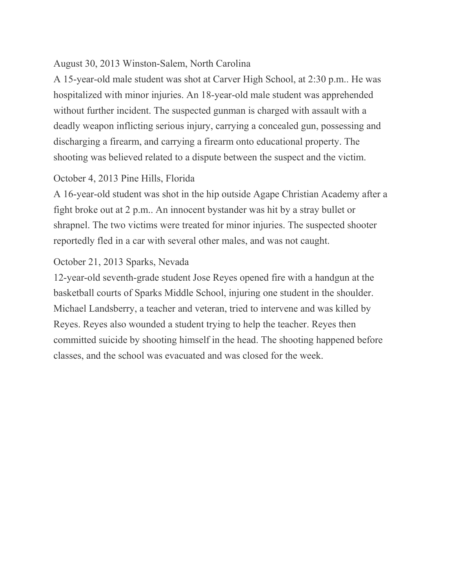## August 30, 2013 Winston-Salem, North Carolina

A 15-year-old male student was shot at Carver High School, at 2:30 p.m.. He was hospitalized with minor injuries. An 18-year-old male student was apprehended without further incident. The suspected gunman is charged with assault with a deadly weapon inflicting serious injury, carrying a concealed gun, possessing and discharging a firearm, and carrying a firearm onto educational property. The shooting was believed related to a dispute between the suspect and the victim.

#### October 4, 2013 Pine Hills, Florida

A 16-year-old student was shot in the hip outside Agape Christian Academy after a fight broke out at 2 p.m.. An innocent bystander was hit by a stray bullet or shrapnel. The two victims were treated for minor injuries. The suspected shooter reportedly fled in a car with several other males, and was not caught.

#### October 21, 2013 Sparks, Nevada

12-year-old seventh-grade student Jose Reyes opened fire with a handgun at the basketball courts of Sparks Middle School, injuring one student in the shoulder. Michael Landsberry, a teacher and veteran, tried to intervene and was killed by Reyes. Reyes also wounded a student trying to help the teacher. Reyes then committed suicide by shooting himself in the head. The shooting happened before classes, and the school was evacuated and was closed for the week.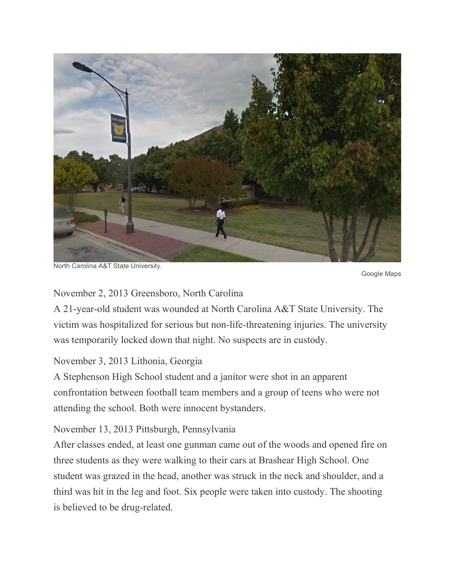

North Carolina A&T State University.

Google Maps

#### November 2, 2013 Greensboro, North Carolina

A 21-year-old student was wounded at North Carolina A&T State University. The victim was hospitalized for serious but non-life-threatening injuries. The university was temporarily locked down that night. No suspects are in custody.

## November 3, 2013 Lithonia, Georgia

A Stephenson High School student and a janitor were shot in an apparent confrontation between football team members and a group of teens who were not attending the school. Both were innocent bystanders.

November 13, 2013 Pittsburgh, Pennsylvania

After classes ended, at least one gunman came out of the woods and opened fire on three students as they were walking to their cars at Brashear High School. One student was grazed in the head, another was struck in the neck and shoulder, and a third was hit in the leg and foot. Six people were taken into custody. The shooting is believed to be drug-related.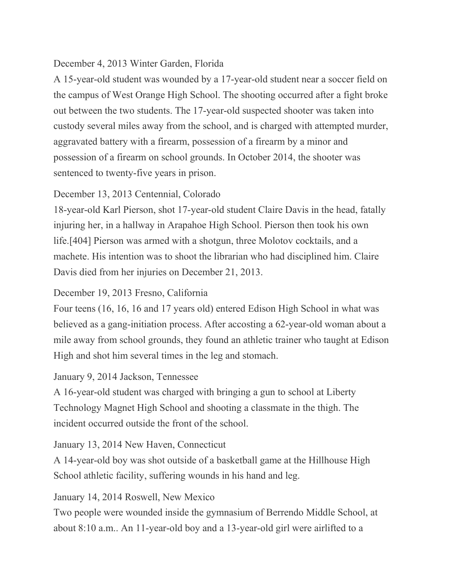## December 4, 2013 Winter Garden, Florida

A 15-year-old student was wounded by a 17-year-old student near a soccer field on the campus of West Orange High School. The shooting occurred after a fight broke out between the two students. The 17-year-old suspected shooter was taken into custody several miles away from the school, and is charged with attempted murder, aggravated battery with a firearm, possession of a firearm by a minor and possession of a firearm on school grounds. In October 2014, the shooter was sentenced to twenty-five years in prison.

## December 13, 2013 Centennial, Colorado

18-year-old Karl Pierson, shot 17-year-old student Claire Davis in the head, fatally injuring her, in a hallway in Arapahoe High School. Pierson then took his own life.[404] Pierson was armed with a shotgun, three Molotov cocktails, and a machete. His intention was to shoot the librarian who had disciplined him. Claire Davis died from her injuries on December 21, 2013.

# December 19, 2013 Fresno, California

Four teens (16, 16, 16 and 17 years old) entered Edison High School in what was believed as a gang-initiation process. After accosting a 62-year-old woman about a mile away from school grounds, they found an athletic trainer who taught at Edison High and shot him several times in the leg and stomach.

# January 9, 2014 Jackson, Tennessee

A 16-year-old student was charged with bringing a gun to school at Liberty Technology Magnet High School and shooting a classmate in the thigh. The incident occurred outside the front of the school.

# January 13, 2014 New Haven, Connecticut

A 14-year-old boy was shot outside of a basketball game at the Hillhouse High School athletic facility, suffering wounds in his hand and leg.

# January 14, 2014 Roswell, New Mexico

Two people were wounded inside the gymnasium of Berrendo Middle School, at about 8:10 a.m.. An 11-year-old boy and a 13-year-old girl were airlifted to a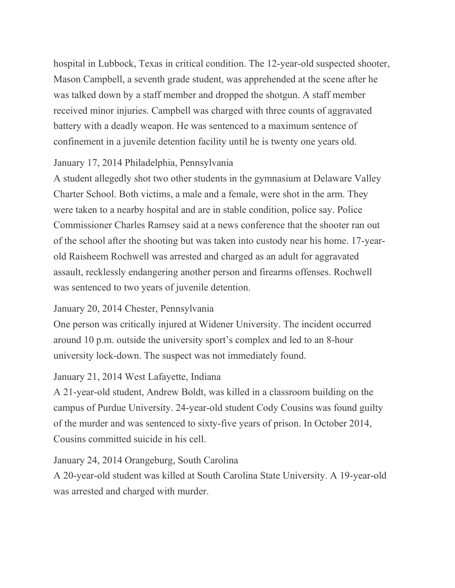hospital in Lubbock, Texas in critical condition. The 12-year-old suspected shooter, Mason Campbell, a seventh grade student, was apprehended at the scene after he was talked down by a staff member and dropped the shotgun. A staff member received minor injuries. Campbell was charged with three counts of aggravated battery with a deadly weapon. He was sentenced to a maximum sentence of confinement in a juvenile detention facility until he is twenty one years old.

# January 17, 2014 Philadelphia, Pennsylvania

A student allegedly shot two other students in the gymnasium at Delaware Valley Charter School. Both victims, a male and a female, were shot in the arm. They were taken to a nearby hospital and are in stable condition, police say. Police Commissioner Charles Ramsey said at a news conference that the shooter ran out of the school after the shooting but was taken into custody near his home. 17-yearold Raisheem Rochwell was arrested and charged as an adult for aggravated assault, recklessly endangering another person and firearms offenses. Rochwell was sentenced to two years of juvenile detention.

# January 20, 2014 Chester, Pennsylvania

One person was critically injured at Widener University. The incident occurred around 10 p.m. outside the university sport's complex and led to an 8-hour university lock-down. The suspect was not immediately found.

# January 21, 2014 West Lafayette, Indiana

A 21-year-old student, Andrew Boldt, was killed in a classroom building on the campus of Purdue University. 24-year-old student Cody Cousins was found guilty of the murder and was sentenced to sixty-five years of prison. In October 2014, Cousins committed suicide in his cell.

# January 24, 2014 Orangeburg, South Carolina

A 20-year-old student was killed at South Carolina State University. A 19-year-old was arrested and charged with murder.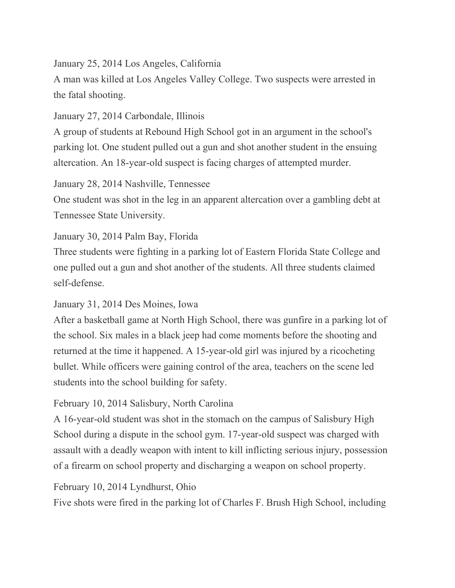January 25, 2014 Los Angeles, California

A man was killed at Los Angeles Valley College. Two suspects were arrested in the fatal shooting.

January 27, 2014 Carbondale, Illinois

A group of students at Rebound High School got in an argument in the school's parking lot. One student pulled out a gun and shot another student in the ensuing altercation. An 18-year-old suspect is facing charges of attempted murder.

January 28, 2014 Nashville, Tennessee

One student was shot in the leg in an apparent altercation over a gambling debt at Tennessee State University.

January 30, 2014 Palm Bay, Florida

Three students were fighting in a parking lot of Eastern Florida State College and one pulled out a gun and shot another of the students. All three students claimed self-defense.

January 31, 2014 Des Moines, Iowa

After a basketball game at North High School, there was gunfire in a parking lot of the school. Six males in a black jeep had come moments before the shooting and returned at the time it happened. A 15-year-old girl was injured by a ricocheting bullet. While officers were gaining control of the area, teachers on the scene led students into the school building for safety.

February 10, 2014 Salisbury, North Carolina

A 16-year-old student was shot in the stomach on the campus of Salisbury High School during a dispute in the school gym. 17-year-old suspect was charged with assault with a deadly weapon with intent to kill inflicting serious injury, possession of a firearm on school property and discharging a weapon on school property.

February 10, 2014 Lyndhurst, Ohio

Five shots were fired in the parking lot of Charles F. Brush High School, including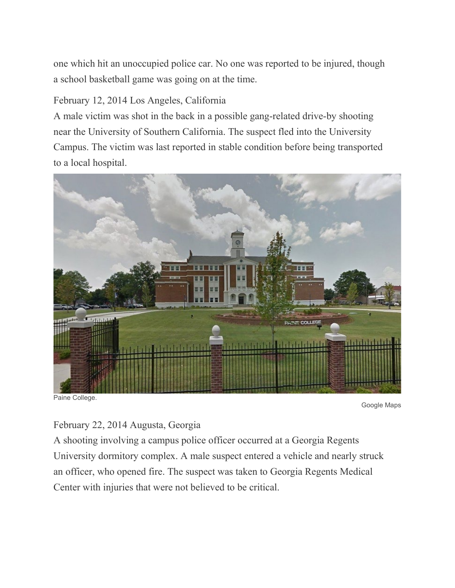one which hit an unoccupied police car. No one was reported to be injured, though a school basketball game was going on at the time.

# February 12, 2014 Los Angeles, California

A male victim was shot in the back in a possible gang-related drive-by shooting near the University of Southern California. The suspect fled into the University Campus. The victim was last reported in stable condition before being transported to a local hospital.



Google Maps

February 22, 2014 Augusta, Georgia

A shooting involving a campus police officer occurred at a Georgia Regents University dormitory complex. A male suspect entered a vehicle and nearly struck an officer, who opened fire. The suspect was taken to Georgia Regents Medical Center with injuries that were not believed to be critical.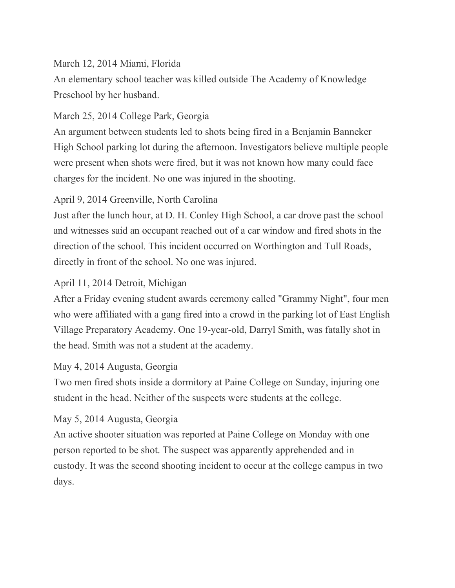## March 12, 2014 Miami, Florida

An elementary school teacher was killed outside The Academy of Knowledge Preschool by her husband.

# March 25, 2014 College Park, Georgia

An argument between students led to shots being fired in a Benjamin Banneker High School parking lot during the afternoon. Investigators believe multiple people were present when shots were fired, but it was not known how many could face charges for the incident. No one was injured in the shooting.

# April 9, 2014 Greenville, North Carolina

Just after the lunch hour, at D. H. Conley High School, a car drove past the school and witnesses said an occupant reached out of a car window and fired shots in the direction of the school. This incident occurred on Worthington and Tull Roads, directly in front of the school. No one was injured.

# April 11, 2014 Detroit, Michigan

After a Friday evening student awards ceremony called "Grammy Night", four men who were affiliated with a gang fired into a crowd in the parking lot of East English Village Preparatory Academy. One 19-year-old, Darryl Smith, was fatally shot in the head. Smith was not a student at the academy.

# May 4, 2014 Augusta, Georgia

Two men fired shots inside a dormitory at Paine College on Sunday, injuring one student in the head. Neither of the suspects were students at the college.

# May 5, 2014 Augusta, Georgia

An active shooter situation was reported at Paine College on Monday with one person reported to be shot. The suspect was apparently apprehended and in custody. It was the second shooting incident to occur at the college campus in two days.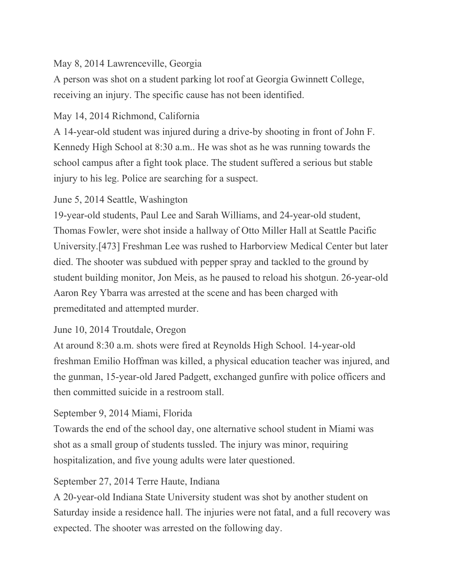# May 8, 2014 Lawrenceville, Georgia

A person was shot on a student parking lot roof at Georgia Gwinnett College, receiving an injury. The specific cause has not been identified.

# May 14, 2014 Richmond, California

A 14-year-old student was injured during a drive-by shooting in front of John F. Kennedy High School at 8:30 a.m.. He was shot as he was running towards the school campus after a fight took place. The student suffered a serious but stable injury to his leg. Police are searching for a suspect.

# June 5, 2014 Seattle, Washington

19-year-old students, Paul Lee and Sarah Williams, and 24-year-old student, Thomas Fowler, were shot inside a hallway of Otto Miller Hall at Seattle Pacific University.[473] Freshman Lee was rushed to Harborview Medical Center but later died. The shooter was subdued with pepper spray and tackled to the ground by student building monitor, Jon Meis, as he paused to reload his shotgun. 26-year-old Aaron Rey Ybarra was arrested at the scene and has been charged with premeditated and attempted murder.

# June 10, 2014 Troutdale, Oregon

At around 8:30 a.m. shots were fired at Reynolds High School. 14-year-old freshman Emilio Hoffman was killed, a physical education teacher was injured, and the gunman, 15-year-old Jared Padgett, exchanged gunfire with police officers and then committed suicide in a restroom stall.

# September 9, 2014 Miami, Florida

Towards the end of the school day, one alternative school student in Miami was shot as a small group of students tussled. The injury was minor, requiring hospitalization, and five young adults were later questioned.

# September 27, 2014 Terre Haute, Indiana

A 20-year-old Indiana State University student was shot by another student on Saturday inside a residence hall. The injuries were not fatal, and a full recovery was expected. The shooter was arrested on the following day.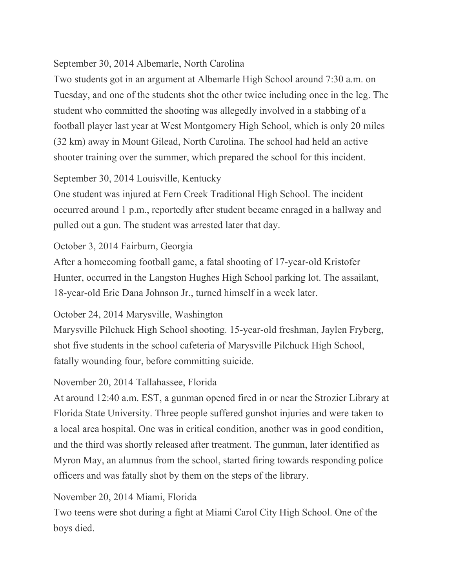## September 30, 2014 Albemarle, North Carolina

Two students got in an argument at Albemarle High School around 7:30 a.m. on Tuesday, and one of the students shot the other twice including once in the leg. The student who committed the shooting was allegedly involved in a stabbing of a football player last year at West Montgomery High School, which is only 20 miles (32 km) away in Mount Gilead, North Carolina. The school had held an active shooter training over the summer, which prepared the school for this incident.

## September 30, 2014 Louisville, Kentucky

One student was injured at Fern Creek Traditional High School. The incident occurred around 1 p.m., reportedly after student became enraged in a hallway and pulled out a gun. The student was arrested later that day.

## October 3, 2014 Fairburn, Georgia

After a homecoming football game, a fatal shooting of 17-year-old Kristofer Hunter, occurred in the Langston Hughes High School parking lot. The assailant, 18-year-old Eric Dana Johnson Jr., turned himself in a week later.

## October 24, 2014 Marysville, Washington

Marysville Pilchuck High School shooting. 15-year-old freshman, Jaylen Fryberg, shot five students in the school cafeteria of Marysville Pilchuck High School, fatally wounding four, before committing suicide.

## November 20, 2014 Tallahassee, Florida

At around 12:40 a.m. EST, a gunman opened fired in or near the Strozier Library at Florida State University. Three people suffered gunshot injuries and were taken to a local area hospital. One was in critical condition, another was in good condition, and the third was shortly released after treatment. The gunman, later identified as Myron May, an alumnus from the school, started firing towards responding police officers and was fatally shot by them on the steps of the library.

## November 20, 2014 Miami, Florida

Two teens were shot during a fight at Miami Carol City High School. One of the boys died.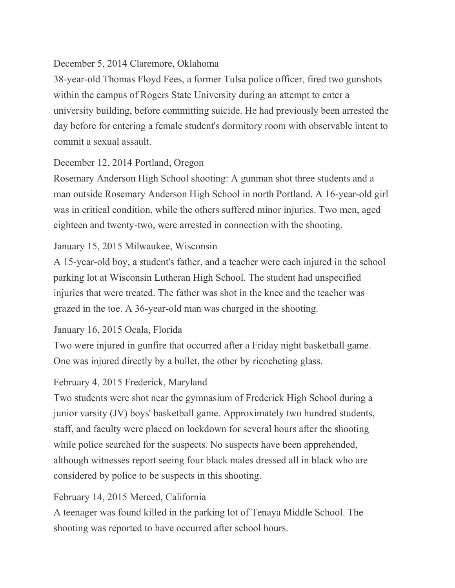## December 5, 2014 Claremore, Oklahoma

38-year-old Thomas Floyd Fees, a former Tulsa police officer, fired two gunshots within the campus of Rogers State University during an attempt to enter a university building, before committing suicide. He had previously been arrested the day before for entering a female student's dormitory room with observable intent to commit a sexual assault.

## December 12, 2014 Portland, Oregon

Rosemary Anderson High School shooting: A gunman shot three students and a man outside Rosemary Anderson High School in north Portland. A 16-year-old girl was in critical condition, while the others suffered minor injuries. Two men, aged eighteen and twenty-two, were arrested in connection with the shooting.

## January 15, 2015 Milwaukee, Wisconsin

A 15-year-old boy, a student's father, and a teacher were each injured in the school parking lot at Wisconsin Lutheran High School. The student had unspecified injuries that were treated. The father was shot in the knee and the teacher was grazed in the toe. A 36-year-old man was charged in the shooting.

## January 16, 2015 Ocala, Florida

Two were injured in gunfire that occurred after a Friday night basketball game. One was injured directly by a bullet, the other by ricocheting glass.

## February 4, 2015 Frederick, Maryland

Two students were shot near the gymnasium of Frederick High School during a junior varsity (JV) boys' basketball game. Approximately two hundred students, staff, and faculty were placed on lockdown for several hours after the shooting while police searched for the suspects. No suspects have been apprehended, although witnesses report seeing four black males dressed all in black who are considered by police to be suspects in this shooting.

# February 14, 2015 Merced, California

A teenager was found killed in the parking lot of Tenaya Middle School. The shooting was reported to have occurred after school hours.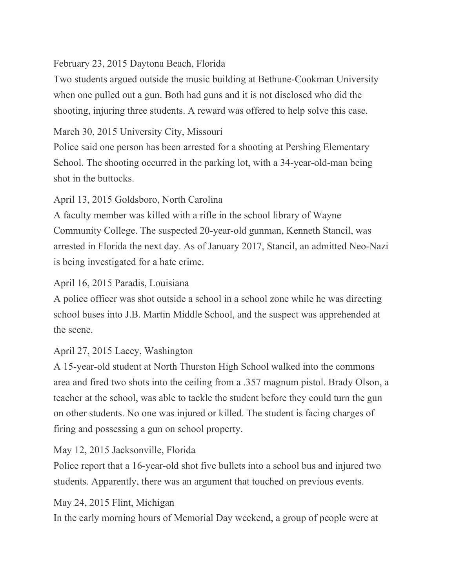## February 23, 2015 Daytona Beach, Florida

Two students argued outside the music building at Bethune-Cookman University when one pulled out a gun. Both had guns and it is not disclosed who did the shooting, injuring three students. A reward was offered to help solve this case.

# March 30, 2015 University City, Missouri

Police said one person has been arrested for a shooting at Pershing Elementary School. The shooting occurred in the parking lot, with a 34-year-old-man being shot in the buttocks.

# April 13, 2015 Goldsboro, North Carolina

A faculty member was killed with a rifle in the school library of Wayne Community College. The suspected 20-year-old gunman, Kenneth Stancil, was arrested in Florida the next day. As of January 2017, Stancil, an admitted Neo-Nazi is being investigated for a hate crime.

# April 16, 2015 Paradis, Louisiana

A police officer was shot outside a school in a school zone while he was directing school buses into J.B. Martin Middle School, and the suspect was apprehended at the scene.

# April 27, 2015 Lacey, Washington

A 15-year-old student at North Thurston High School walked into the commons area and fired two shots into the ceiling from a .357 magnum pistol. Brady Olson, a teacher at the school, was able to tackle the student before they could turn the gun on other students. No one was injured or killed. The student is facing charges of firing and possessing a gun on school property.

# May 12, 2015 Jacksonville, Florida

Police report that a 16-year-old shot five bullets into a school bus and injured two students. Apparently, there was an argument that touched on previous events.

# May 24, 2015 Flint, Michigan

In the early morning hours of Memorial Day weekend, a group of people were at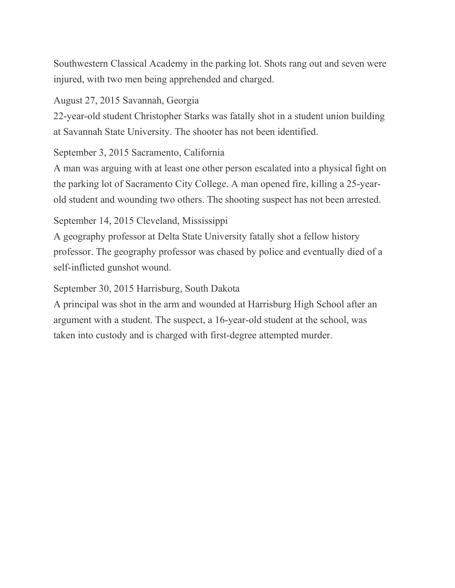Southwestern Classical Academy in the parking lot. Shots rang out and seven were injured, with two men being apprehended and charged.

August 27, 2015 Savannah, Georgia

22-year-old student Christopher Starks was fatally shot in a student union building at Savannah State University. The shooter has not been identified.

September 3, 2015 Sacramento, California

A man was arguing with at least one other person escalated into a physical fight on the parking lot of Sacramento City College. A man opened fire, killing a 25-yearold student and wounding two others. The shooting suspect has not been arrested.

September 14, 2015 Cleveland, Mississippi

A geography professor at Delta State University fatally shot a fellow history professor. The geography professor was chased by police and eventually died of a self-inflicted gunshot wound.

September 30, 2015 Harrisburg, South Dakota

A principal was shot in the arm and wounded at Harrisburg High School after an argument with a student. The suspect, a 16-year-old student at the school, was taken into custody and is charged with first-degree attempted murder.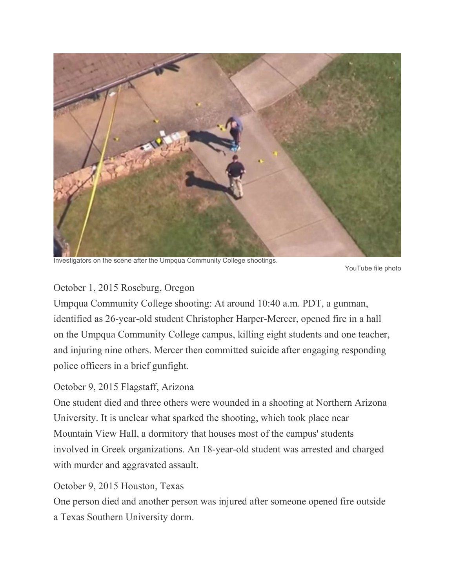

Investigators on the scene after the Umpqua Community College shootings.

YouTube file photo

## October 1, 2015 Roseburg, Oregon

Umpqua Community College shooting: At around 10:40 a.m. PDT, a gunman, identified as 26-year-old student Christopher Harper-Mercer, opened fire in a hall on the Umpqua Community College campus, killing eight students and one teacher, and injuring nine others. Mercer then committed suicide after engaging responding police officers in a brief gunfight.

## October 9, 2015 Flagstaff, Arizona

One student died and three others were wounded in a shooting at Northern Arizona University. It is unclear what sparked the shooting, which took place near Mountain View Hall, a dormitory that houses most of the campus' students involved in Greek organizations. An 18-year-old student was arrested and charged with murder and aggravated assault.

## October 9, 2015 Houston, Texas

One person died and another person was injured after someone opened fire outside a Texas Southern University dorm.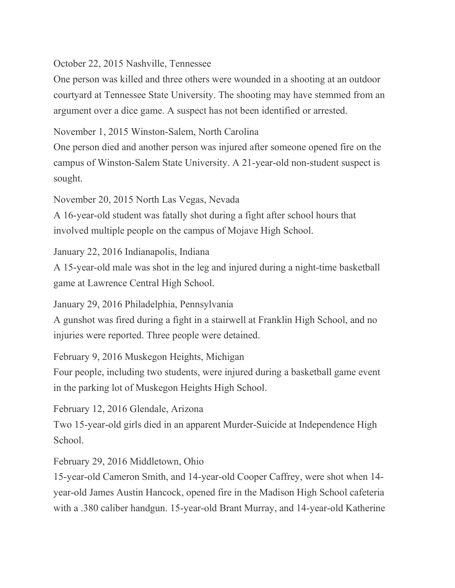October 22, 2015 Nashville, Tennessee

One person was killed and three others were wounded in a shooting at an outdoor courtyard at Tennessee State University. The shooting may have stemmed from an argument over a dice game. A suspect has not been identified or arrested.

November 1, 2015 Winston-Salem, North Carolina

One person died and another person was injured after someone opened fire on the campus of Winston-Salem State University. A 21-year-old non-student suspect is sought.

November 20, 2015 North Las Vegas, Nevada

A 16-year-old student was fatally shot during a fight after school hours that involved multiple people on the campus of Mojave High School.

January 22, 2016 Indianapolis, Indiana

A 15-year-old male was shot in the leg and injured during a night-time basketball game at Lawrence Central High School.

January 29, 2016 Philadelphia, Pennsylvania

A gunshot was fired during a fight in a stairwell at Franklin High School, and no injuries were reported. Three people were detained.

February 9, 2016 Muskegon Heights, Michigan

Four people, including two students, were injured during a basketball game event in the parking lot of Muskegon Heights High School.

February 12, 2016 Glendale, Arizona

Two 15-year-old girls died in an apparent Murder-Suicide at Independence High School.

February 29, 2016 Middletown, Ohio

15-year-old Cameron Smith, and 14-year-old Cooper Caffrey, were shot when 14 year-old James Austin Hancock, opened fire in the Madison High School cafeteria with a .380 caliber handgun. 15-year-old Brant Murray, and 14-year-old Katherine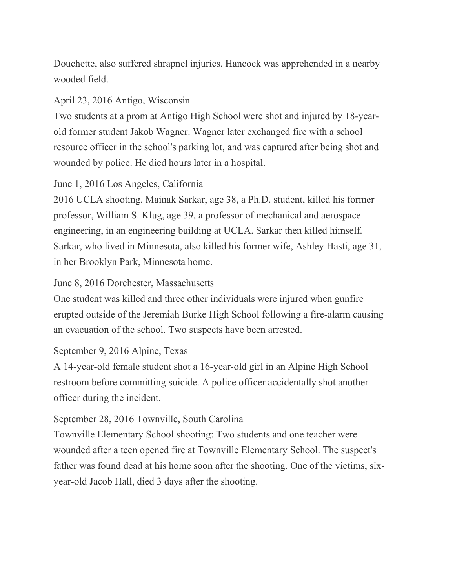Douchette, also suffered shrapnel injuries. Hancock was apprehended in a nearby wooded field.

## April 23, 2016 Antigo, Wisconsin

Two students at a prom at Antigo High School were shot and injured by 18-yearold former student Jakob Wagner. Wagner later exchanged fire with a school resource officer in the school's parking lot, and was captured after being shot and wounded by police. He died hours later in a hospital.

# June 1, 2016 Los Angeles, California

2016 UCLA shooting. Mainak Sarkar, age 38, a Ph.D. student, killed his former professor, William S. Klug, age 39, a professor of mechanical and aerospace engineering, in an engineering building at UCLA. Sarkar then killed himself. Sarkar, who lived in Minnesota, also killed his former wife, Ashley Hasti, age 31, in her Brooklyn Park, Minnesota home.

# June 8, 2016 Dorchester, Massachusetts

One student was killed and three other individuals were injured when gunfire erupted outside of the Jeremiah Burke High School following a fire-alarm causing an evacuation of the school. Two suspects have been arrested.

# September 9, 2016 Alpine, Texas

A 14-year-old female student shot a 16-year-old girl in an Alpine High School restroom before committing suicide. A police officer accidentally shot another officer during the incident.

# September 28, 2016 Townville, South Carolina

Townville Elementary School shooting: Two students and one teacher were wounded after a teen opened fire at Townville Elementary School. The suspect's father was found dead at his home soon after the shooting. One of the victims, sixyear-old Jacob Hall, died 3 days after the shooting.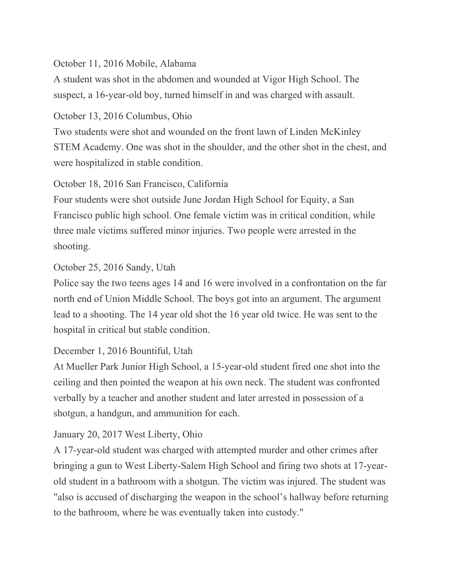## October 11, 2016 Mobile, Alabama

A student was shot in the abdomen and wounded at Vigor High School. The suspect, a 16-year-old boy, turned himself in and was charged with assault.

## October 13, 2016 Columbus, Ohio

Two students were shot and wounded on the front lawn of Linden McKinley STEM Academy. One was shot in the shoulder, and the other shot in the chest, and were hospitalized in stable condition.

# October 18, 2016 San Francisco, California

Four students were shot outside June Jordan High School for Equity, a San Francisco public high school. One female victim was in critical condition, while three male victims suffered minor injuries. Two people were arrested in the shooting.

## October 25, 2016 Sandy, Utah

Police say the two teens ages 14 and 16 were involved in a confrontation on the far north end of Union Middle School. The boys got into an argument. The argument lead to a shooting. The 14 year old shot the 16 year old twice. He was sent to the hospital in critical but stable condition.

# December 1, 2016 Bountiful, Utah

At Mueller Park Junior High School, a 15-year-old student fired one shot into the ceiling and then pointed the weapon at his own neck. The student was confronted verbally by a teacher and another student and later arrested in possession of a shotgun, a handgun, and ammunition for each.

# January 20, 2017 West Liberty, Ohio

A 17-year-old student was charged with attempted murder and other crimes after bringing a gun to West Liberty-Salem High School and firing two shots at 17-yearold student in a bathroom with a shotgun. The victim was injured. The student was "also is accused of discharging the weapon in the school's hallway before returning to the bathroom, where he was eventually taken into custody."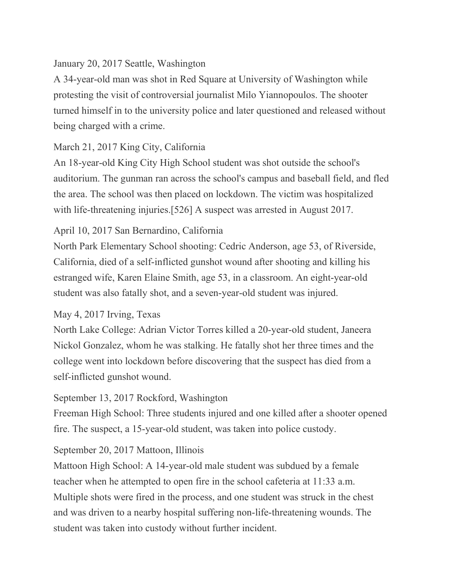## January 20, 2017 Seattle, Washington

A 34-year-old man was shot in Red Square at University of Washington while protesting the visit of controversial journalist Milo Yiannopoulos. The shooter turned himself in to the university police and later questioned and released without being charged with a crime.

# March 21, 2017 King City, California

An 18-year-old King City High School student was shot outside the school's auditorium. The gunman ran across the school's campus and baseball field, and fled the area. The school was then placed on lockdown. The victim was hospitalized with life-threatening injuries.<sup>[526]</sup> A suspect was arrested in August 2017.

# April 10, 2017 San Bernardino, California

North Park Elementary School shooting: Cedric Anderson, age 53, of Riverside, California, died of a self-inflicted gunshot wound after shooting and killing his estranged wife, Karen Elaine Smith, age 53, in a classroom. An eight-year-old student was also fatally shot, and a seven-year-old student was injured.

# May 4, 2017 Irving, Texas

North Lake College: Adrian Victor Torres killed a 20-year-old student, Janeera Nickol Gonzalez, whom he was stalking. He fatally shot her three times and the college went into lockdown before discovering that the suspect has died from a self-inflicted gunshot wound.

# September 13, 2017 Rockford, Washington

Freeman High School: Three students injured and one killed after a shooter opened fire. The suspect, a 15-year-old student, was taken into police custody.

## September 20, 2017 Mattoon, Illinois

Mattoon High School: A 14-year-old male student was subdued by a female teacher when he attempted to open fire in the school cafeteria at 11:33 a.m. Multiple shots were fired in the process, and one student was struck in the chest and was driven to a nearby hospital suffering non-life-threatening wounds. The student was taken into custody without further incident.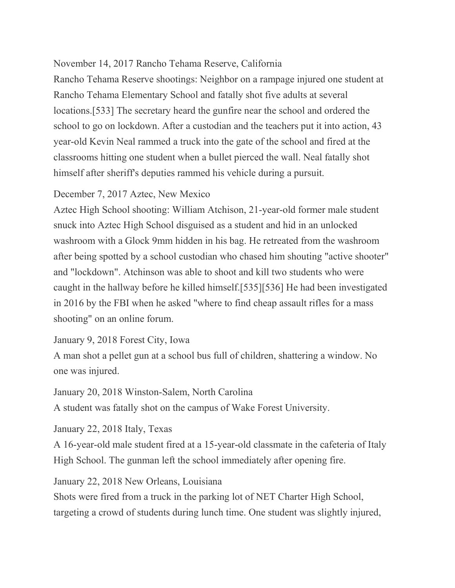# November 14, 2017 Rancho Tehama Reserve, California

Rancho Tehama Reserve shootings: Neighbor on a rampage injured one student at Rancho Tehama Elementary School and fatally shot five adults at several locations.[533] The secretary heard the gunfire near the school and ordered the school to go on lockdown. After a custodian and the teachers put it into action, 43 year-old Kevin Neal rammed a truck into the gate of the school and fired at the classrooms hitting one student when a bullet pierced the wall. Neal fatally shot himself after sheriff's deputies rammed his vehicle during a pursuit.

## December 7, 2017 Aztec, New Mexico

Aztec High School shooting: William Atchison, 21-year-old former male student snuck into Aztec High School disguised as a student and hid in an unlocked washroom with a Glock 9mm hidden in his bag. He retreated from the washroom after being spotted by a school custodian who chased him shouting "active shooter" and "lockdown". Atchinson was able to shoot and kill two students who were caught in the hallway before he killed himself.[535][536] He had been investigated in 2016 by the FBI when he asked "where to find cheap assault rifles for a mass shooting" on an online forum.

January 9, 2018 Forest City, Iowa

A man shot a pellet gun at a school bus full of children, shattering a window. No one was injured.

January 20, 2018 Winston-Salem, North Carolina

A student was fatally shot on the campus of Wake Forest University.

January 22, 2018 Italy, Texas

A 16-year-old male student fired at a 15-year-old classmate in the cafeteria of Italy High School. The gunman left the school immediately after opening fire.

January 22, 2018 New Orleans, Louisiana

Shots were fired from a truck in the parking lot of NET Charter High School, targeting a crowd of students during lunch time. One student was slightly injured,